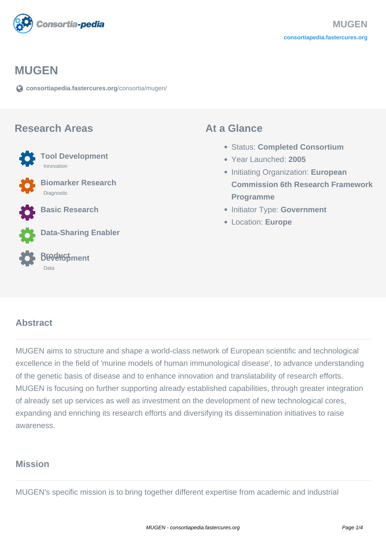

#### **MUGEN**

**[consortiapedia.fastercures.org](https://consortiapedia.fastercures.org/consortia/mugen/)**[/consortia/mugen/](https://consortiapedia.fastercures.org/consortia/mugen/)

#### **Research Areas**

 **Tool Development** Innovation **Biomarker Research** Diagnostic **Basic Research**



**Data-Sharing Enabler**



#### **At a Glance**

- Status: **Completed Consortium**
- Year Launched: **2005**
- Initiating Organization: **European Commission 6th Research Framework Programme**
- **Initiator Type: Government**
- Location: **Europe**

#### $\overline{a}$ **Abstract**

MUGEN aims to structure and shape a world-class network of European scientific and technological excellence in the field of 'murine models of human immunological disease', to advance understanding of the genetic basis of disease and to enhance innovation and translatability of research efforts. MUGEN is focusing on further supporting already established capabilities, through greater integration of already set up services as well as investment on the development of new technological cores, expanding and enriching its research efforts and diversifying its dissemination initiatives to raise awareness.

### **Mission**

MUGEN's specific mission is to bring together different expertise from academic and industrial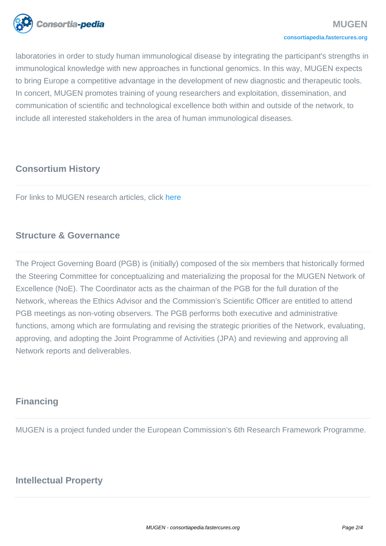

laboratories in order to study human immunological disease by integrating the participant's strengths in immunological knowledge with new approaches in functional genomics. In this way, MUGEN expects to bring Europe a competitive advantage in the development of new diagnostic and therapeutic tools. In concert, MUGEN promotes training of young researchers and exploitation, dissemination, and communication of scientific and technological excellence both within and outside of the network, to include all interested stakeholders in the area of human immunological diseases.

# **Consortium History**

For links to MUGEN research articles, click [here](http://www.mugen-noe.org/indexcdb5.html?MODULE=bce/application/pages&Branch=N_N0000000016)

# **Structure & Governance**

The Project Governing Board (PGB) is (initially) composed of the six members that historically formed the Steering Committee for conceptualizing and materializing the proposal for the MUGEN Network of Excellence (NoE). The Coordinator acts as the chairman of the PGB for the full duration of the Network, whereas the Ethics Advisor and the Commission's Scientific Officer are entitled to attend PGB meetings as non-voting observers. The PGB performs both executive and administrative functions, among which are formulating and revising the strategic priorities of the Network, evaluating, approving, and adopting the Joint Programme of Activities (JPA) and reviewing and approving all Network reports and deliverables.

# **Financing**

MUGEN is a project funded under the European Commission's 6th Research Framework Programme.

# **Intellectual Property**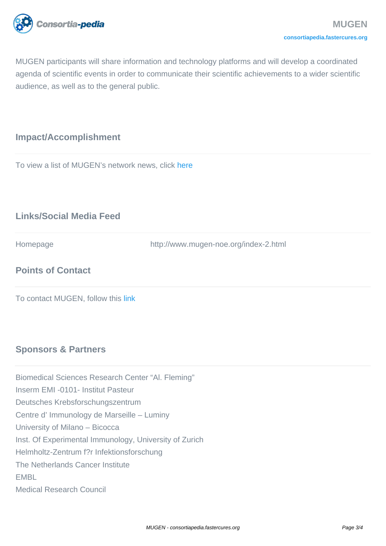

MUGEN participants will share information and technology platforms and will develop a coordinated agenda of scientific events in order to communicate their scientific achievements to a wider scientific audience, as well as to the general public.

### **Impact/Accomplishment**

To view a list of MUGEN's network news, click [here](http://www.mugen-noe.org/index8baf.html?MODULE=bce/application/pages&Branch=N_N0000000003_N0000001009)

# **Links/Social Media Feed**

Homepage http://www.mugen-noe.org/index-2.html

# **Points of Contact**

To contact MUGEN, follow this [link](http://www.mugen-noe.org/index30f4.html?MODULE=bce/application/contact&Alias=CONTACT_US)

## **Sponsors & Partners**

Biomedical Sciences Research Center "Al. Fleming"

Inserm EMI -0101- Institut Pasteur

Deutsches Krebsforschungszentrum

Centre d' Immunology de Marseille – Luminy

University of Milano – Bicocca

Inst. Of Experimental Immunology, University of Zurich

Helmholtz-Zentrum f?r Infektionsforschung

The Netherlands Cancer Institute

EMBL

Medical Research Council